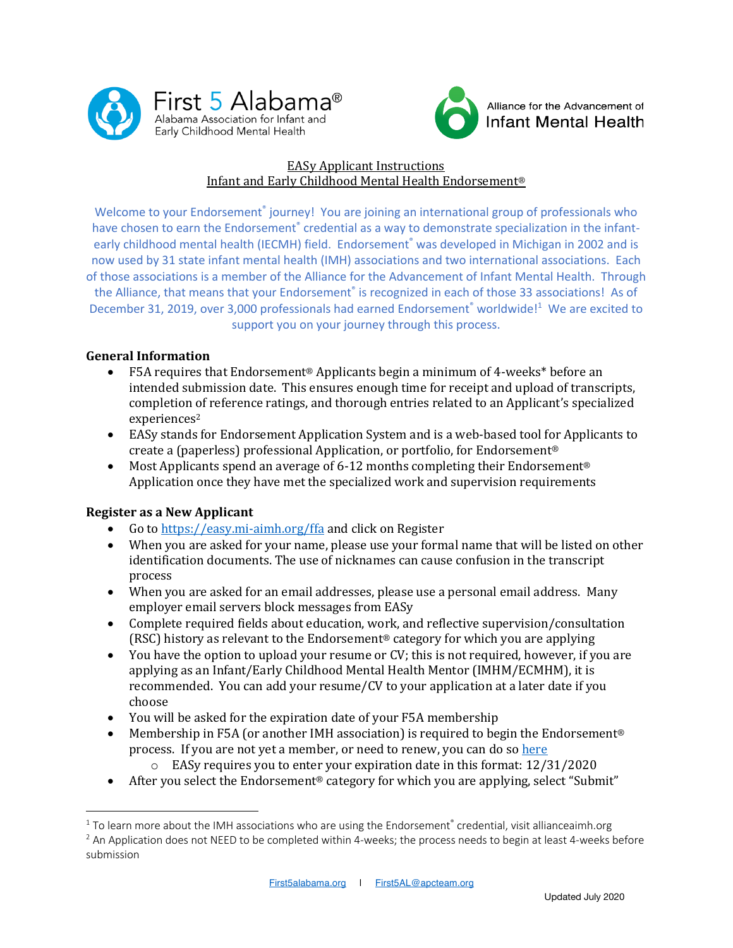



## EASy Applicant Instructions Infant and Early Childhood Mental Health Endorsement®

Welcome to your Endorsement<sup>®</sup> journey! You are joining an international group of professionals who have chosen to earn the Endorsement® credential as a way to demonstrate specialization in the infantearly childhood mental health (IECMH) field. Endorsement® was developed in Michigan in 2002 and is now used by 31 state infant mental health (IMH) associations and two international associations. Each of those associations is a member of the Alliance for the Advancement of Infant Mental Health. Through the Alliance, that means that your Endorsement® is recognized in each of those 33 associations! As of December 31, 2019, over 3,000 professionals had earned Endorsement® worldwide!<sup>1</sup> We are excited to support you on your journey through this process.

### **General Information**

- F5A requires that Endorsement<sup>®</sup> Applicants begin a minimum of 4-weeks\* before an intended submission date. This ensures enough time for receipt and upload of transcripts, completion of reference ratings, and thorough entries related to an Applicant's specialized experiences<sup>2</sup>
- EASy stands for Endorsement Application System and is a web-based tool for Applicants to create a (paperless) professional Application, or portfolio, for Endorsement<sup>®</sup>
- Most Applicants spend an average of 6-12 months completing their Endorsement<sup>®</sup> Application once they have met the specialized work and supervision requirements

### **Register as a New Applicant**

- Go to https://easy.mi-aimh.org/ffa and click on Register
- When you are asked for your name, please use your formal name that will be listed on other identification documents. The use of nicknames can cause confusion in the transcript process
- When you are asked for an email addresses, please use a personal email address. Many employer email servers block messages from EASy
- Complete required fields about education, work, and reflective supervision/consultation (RSC) history as relevant to the Endorsement<sup>®</sup> category for which you are applying
- You have the option to upload your resume or CV; this is not required, however, if you are applying as an Infant/Early Childhood Mental Health Mentor (IMHM/ECMHM), it is recommended. You can add your resume/CV to your application at a later date if you choose
- You will be asked for the expiration date of your F5A membership
- Membership in F5A (or another IMH association) is required to begin the Endorsement<sup>®</sup> process. If you are not yet a member, or need to renew, you can do so here
	- $\circ$  EASy requires you to enter your expiration date in this format: 12/31/2020
- After you select the Endorsement<sup>®</sup> category for which you are applying, select "Submit"

 $1$  To learn more about the IMH associations who are using the Endorsement® credential, visit allianceaimh.org

 $2$  An Application does not NEED to be completed within 4-weeks; the process needs to begin at least 4-weeks before submission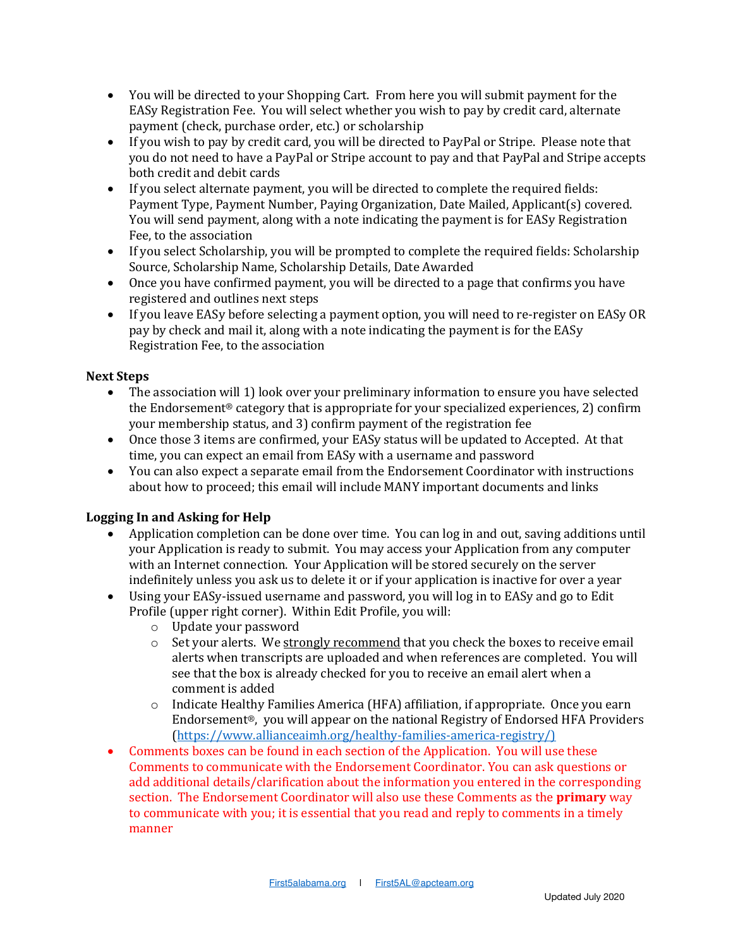- You will be directed to your Shopping Cart. From here you will submit payment for the EASy Registration Fee. You will select whether you wish to pay by credit card, alternate payment (check, purchase order, etc.) or scholarship
- If you wish to pay by credit card, you will be directed to PayPal or Stripe. Please note that you do not need to have a PayPal or Stripe account to pay and that PayPal and Stripe accepts both credit and debit cards
- If you select alternate payment, you will be directed to complete the required fields: Payment Type, Payment Number, Paying Organization, Date Mailed, Applicant(s) covered. You will send payment, along with a note indicating the payment is for EASy Registration Fee, to the association
- If you select Scholarship, you will be prompted to complete the required fields: Scholarship Source, Scholarship Name, Scholarship Details, Date Awarded
- Once you have confirmed payment, you will be directed to a page that confirms you have registered and outlines next steps
- If you leave EASy before selecting a payment option, you will need to re-register on EASy OR pay by check and mail it, along with a note indicating the payment is for the EASy Registration Fee, to the association

# **Next Steps**

- The association will 1) look over your preliminary information to ensure you have selected the Endorsement<sup>®</sup> category that is appropriate for your specialized experiences, 2) confirm your membership status, and 3) confirm payment of the registration fee
- Once those 3 items are confirmed, your EASy status will be updated to Accepted. At that time, you can expect an email from EASy with a username and password
- You can also expect a separate email from the Endorsement Coordinator with instructions about how to proceed; this email will include MANY important documents and links

# **Logging In and Asking for Help**

- Application completion can be done over time. You can log in and out, saving additions until your Application is ready to submit. You may access your Application from any computer with an Internet connection. Your Application will be stored securely on the server indefinitely unless you ask us to delete it or if your application is inactive for over a year
- Using your EASy-issued username and password, you will log in to EASy and go to Edit Profile (upper right corner). Within Edit Profile, you will:
	- $\circ$  Update your password
	- $\circ$  Set your alerts. We strongly recommend that you check the boxes to receive email alerts when transcripts are uploaded and when references are completed. You will see that the box is already checked for you to receive an email alert when a comment is added
	- $\circ$  Indicate Healthy Families America (HFA) affiliation, if appropriate. Once you earn Endorsement<sup>®</sup>, you will appear on the national Registry of Endorsed HFA Providers (https://www.allianceaimh.org/healthy-families-america-registry/)
- Comments boxes can be found in each section of the Application. You will use these Comments to communicate with the Endorsement Coordinator. You can ask questions or add additional details/clarification about the information you entered in the corresponding section. The Endorsement Coordinator will also use these Comments as the **primary** way to communicate with you; it is essential that you read and reply to comments in a timely manner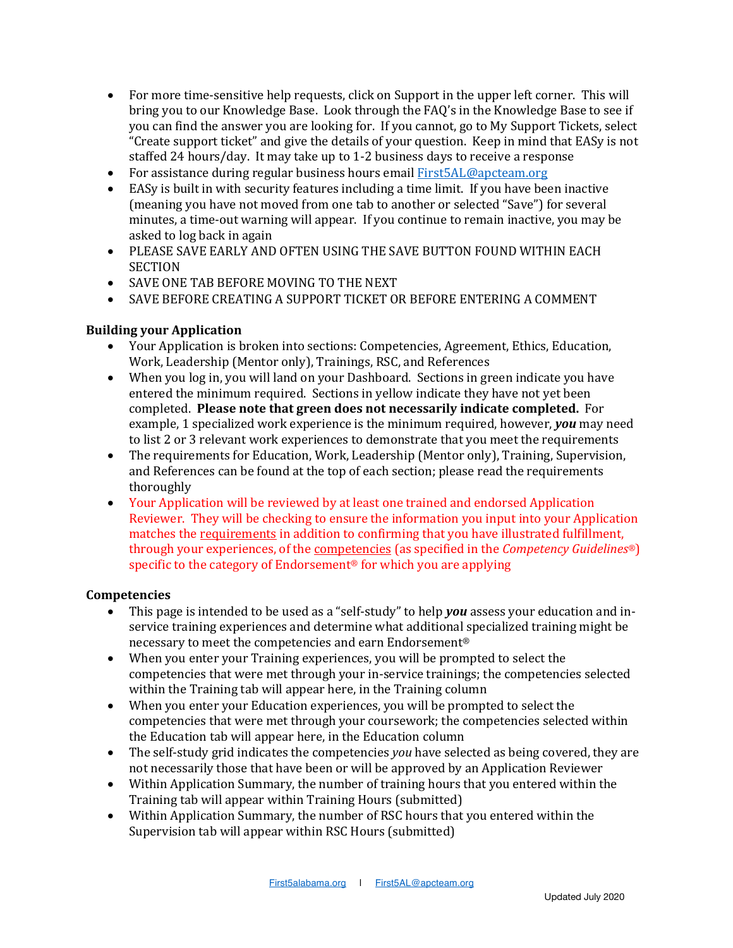- For more time-sensitive help requests, click on Support in the upper left corner. This will bring you to our Knowledge Base. Look through the FAQ's in the Knowledge Base to see if you can find the answer you are looking for. If you cannot, go to My Support Tickets, select "Create support ticket" and give the details of your question. Keep in mind that EASy is not staffed 24 hours/day. It may take up to 1-2 business days to receive a response
- For assistance during regular business hours email First5AL@apcteam.org
- EASy is built in with security features including a time limit. If you have been inactive (meaning you have not moved from one tab to another or selected "Save") for several minutes, a time-out warning will appear. If you continue to remain inactive, you may be asked to log back in again
- PLEASE SAVE EARLY AND OFTEN USING THE SAVE BUTTON FOUND WITHIN EACH **SECTION**
- SAVE ONE TAB BEFORE MOVING TO THE NEXT
- SAVE BEFORE CREATING A SUPPORT TICKET OR BEFORE ENTERING A COMMENT

### **Building your Application**

- Your Application is broken into sections: Competencies, Agreement, Ethics, Education, Work, Leadership (Mentor only), Trainings, RSC, and References
- When you log in, you will land on your Dashboard. Sections in green indicate you have entered the minimum required. Sections in yellow indicate they have not yet been completed. Please note that green does not necessarily indicate completed. For example, 1 specialized work experience is the minimum required, however, *you* may need to list 2 or 3 relevant work experiences to demonstrate that you meet the requirements
- The requirements for Education, Work, Leadership (Mentor only), Training, Supervision, and References can be found at the top of each section; please read the requirements thoroughly
- Your Application will be reviewed by at least one trained and endorsed Application Reviewer. They will be checking to ensure the information you input into your Application matches the requirements in addition to confirming that you have illustrated fulfillment, through your experiences, of the <u>competencies</u> (as specified in the *Competency Guidelines<sup>®</sup>)* specific to the category of Endorsement<sup>®</sup> for which you are applying

#### **Competencies**

- This page is intended to be used as a "self-study" to help *you* assess your education and inservice training experiences and determine what additional specialized training might be necessary to meet the competencies and earn Endorsement®
- When you enter your Training experiences, you will be prompted to select the competencies that were met through your in-service trainings; the competencies selected within the Training tab will appear here, in the Training column
- When you enter your Education experiences, you will be prompted to select the competencies that were met through your coursework; the competencies selected within the Education tab will appear here, in the Education column
- The self-study grid indicates the competencies *you* have selected as being covered, they are not necessarily those that have been or will be approved by an Application Reviewer
- Within Application Summary, the number of training hours that you entered within the Training tab will appear within Training Hours (submitted)
- Within Application Summary, the number of RSC hours that you entered within the Supervision tab will appear within RSC Hours (submitted)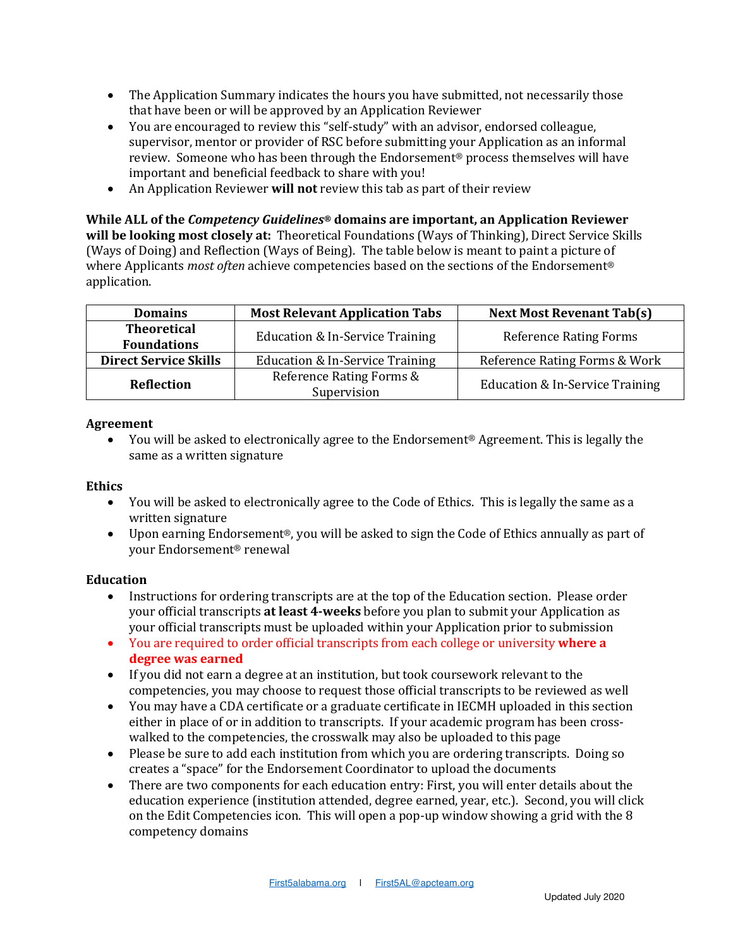- The Application Summary indicates the hours you have submitted, not necessarily those that have been or will be approved by an Application Reviewer
- You are encouraged to review this "self-study" with an advisor, endorsed colleague, supervisor, mentor or provider of RSC before submitting your Application as an informal review. Someone who has been through the Endorsement® process themselves will have important and beneficial feedback to share with you!
- An Application Reviewer **will not** review this tab as part of their review

### **While ALL of the Competency Guidelines® domains are important, an Application Reviewer**

will be looking most closely at: Theoretical Foundations (Ways of Thinking), Direct Service Skills (Ways of Doing) and Reflection (Ways of Being). The table below is meant to paint a picture of where Applicants *most often* achieve competencies based on the sections of the Endorsement<sup>®</sup> application.

| <b>Theoretical</b><br>Education & In-Service Training<br><b>Reference Rating Forms</b><br><b>Foundations</b><br>Reference Rating Forms & Work<br><b>Direct Service Skills</b><br>Education & In-Service Training<br>Reference Rating Forms &<br>Education & In-Service Training<br>Reflection | <b>Domains</b> | <b>Most Relevant Application Tabs</b> | <b>Next Most Revenant Tab(s)</b> |
|-----------------------------------------------------------------------------------------------------------------------------------------------------------------------------------------------------------------------------------------------------------------------------------------------|----------------|---------------------------------------|----------------------------------|
|                                                                                                                                                                                                                                                                                               |                |                                       |                                  |
|                                                                                                                                                                                                                                                                                               |                |                                       |                                  |
|                                                                                                                                                                                                                                                                                               |                |                                       |                                  |
|                                                                                                                                                                                                                                                                                               |                | Supervision                           |                                  |

#### **Agreement**

You will be asked to electronically agree to the Endorsement® Agreement. This is legally the same as a written signature

#### **Ethics**

- You will be asked to electronically agree to the Code of Ethics. This is legally the same as a written signature
- Upon earning Endorsement®, you will be asked to sign the Code of Ethics annually as part of your Endorsement® renewal

#### **Education**

- Instructions for ordering transcripts are at the top of the Education section. Please order your official transcripts at least 4-weeks before you plan to submit your Application as your official transcripts must be uploaded within your Application prior to submission
- You are required to order official transcripts from each college or university where a **degree was earned**
- If you did not earn a degree at an institution, but took coursework relevant to the competencies, you may choose to request those official transcripts to be reviewed as well
- You may have a CDA certificate or a graduate certificate in IECMH uploaded in this section either in place of or in addition to transcripts. If your academic program has been crosswalked to the competencies, the crosswalk may also be uploaded to this page
- Please be sure to add each institution from which you are ordering transcripts. Doing so creates a "space" for the Endorsement Coordinator to upload the documents
- There are two components for each education entry: First, you will enter details about the education experience (institution attended, degree earned, year, etc.). Second, you will click on the Edit Competencies icon. This will open a pop-up window showing a grid with the 8 competency domains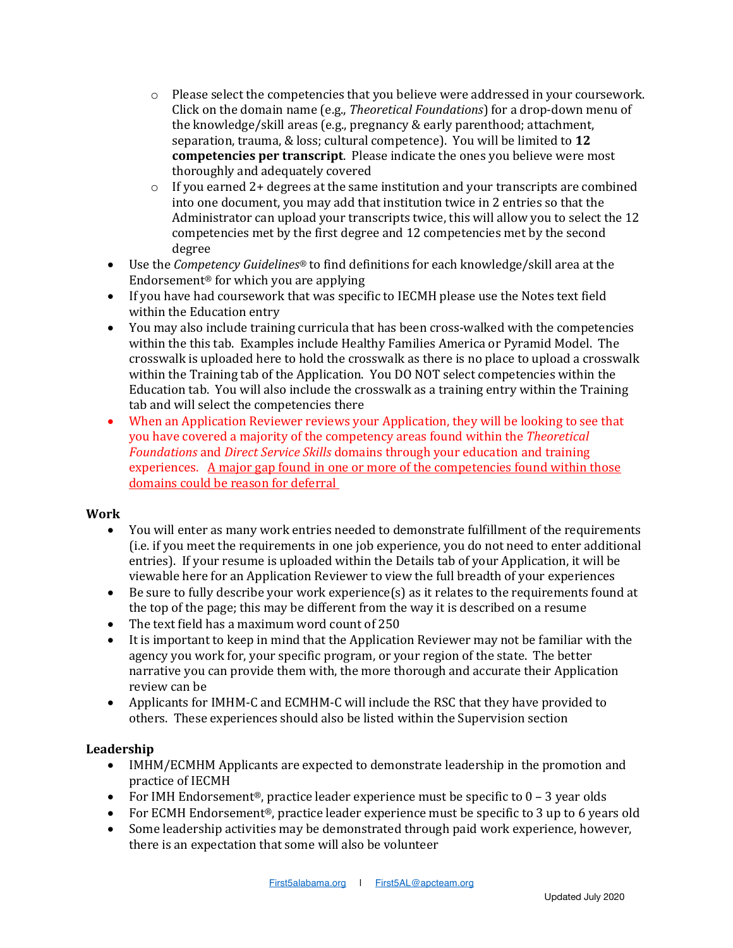- $\circ$  Please select the competencies that you believe were addressed in your coursework. Click on the domain name (e.g., *Theoretical Foundations*) for a drop-down menu of the knowledge/skill areas (e.g., pregnancy & early parenthood; attachment, separation, trauma, & loss; cultural competence). You will be limited to 12 **competencies per transcript**. Please indicate the ones you believe were most thoroughly and adequately covered
- $\circ$  If you earned 2+ degrees at the same institution and your transcripts are combined into one document, you may add that institution twice in 2 entries so that the Administrator can upload your transcripts twice, this will allow you to select the 12 competencies met by the first degree and 12 competencies met by the second degree
- Use the *Competency Guidelines®* to find definitions for each knowledge/skill area at the Endorsement<sup>®</sup> for which you are applying
- If you have had coursework that was specific to IECMH please use the Notes text field within the Education entry
- You may also include training curricula that has been cross-walked with the competencies within the this tab. Examples include Healthy Families America or Pyramid Model. The crosswalk is uploaded here to hold the crosswalk as there is no place to upload a crosswalk within the Training tab of the Application. You DO NOT select competencies within the Education tab. You will also include the crosswalk as a training entry within the Training tab and will select the competencies there
- When an Application Reviewer reviews your Application, they will be looking to see that you have covered a majority of the competency areas found within the *Theoretical* Foundations and *Direct Service Skills* domains through your education and training experiences. A major gap found in one or more of the competencies found within those domains could be reason for deferral

### **Work**

- You will enter as many work entries needed to demonstrate fulfillment of the requirements (i.e. if you meet the requirements in one job experience, you do not need to enter additional entries). If your resume is uploaded within the Details tab of your Application, it will be viewable here for an Application Reviewer to view the full breadth of your experiences
- Be sure to fully describe your work experience(s) as it relates to the requirements found at the top of the page; this may be different from the way it is described on a resume
- The text field has a maximum word count of 250
- It is important to keep in mind that the Application Reviewer may not be familiar with the agency you work for, your specific program, or your region of the state. The better narrative you can provide them with, the more thorough and accurate their Application review can be
- Applicants for IMHM-C and ECMHM-C will include the RSC that they have provided to others. These experiences should also be listed within the Supervision section

### **Leadership**

- IMHM/ECMHM Applicants are expected to demonstrate leadership in the promotion and practice of IECMH
- For IMH Endorsement<sup>®</sup>, practice leader experience must be specific to  $0 3$  year olds
- For ECMH Endorsement<sup>®</sup>, practice leader experience must be specific to 3 up to 6 years old
- Some leadership activities may be demonstrated through paid work experience, however, there is an expectation that some will also be volunteer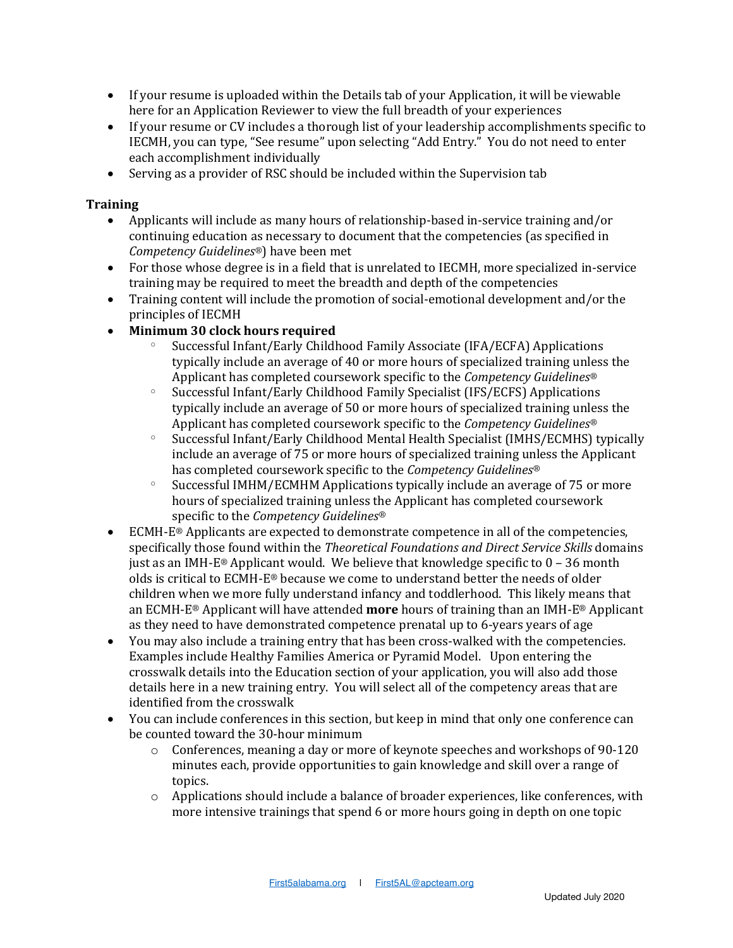- If your resume is uploaded within the Details tab of your Application, it will be viewable here for an Application Reviewer to view the full breadth of your experiences
- If your resume or CV includes a thorough list of your leadership accomplishments specific to IECMH, you can type, "See resume" upon selecting "Add Entry." You do not need to enter each accomplishment individually
- Serving as a provider of RSC should be included within the Supervision tab

### **Training**

- Applicants will include as many hours of relationship-based in-service training and/or continuing education as necessary to document that the competencies (as specified in *Competency Guidelines<sup>®</sup>)* have been met
- For those whose degree is in a field that is unrelated to IECMH, more specialized in-service training may be required to meet the breadth and depth of the competencies
- Training content will include the promotion of social-emotional development and/or the principles of IECMH
- **Minimum 30 clock hours required**
	- Successful Infant/Early Childhood Family Associate (IFA/ECFA) Applications typically include an average of 40 or more hours of specialized training unless the Applicant has completed coursework specific to the *Competency Guidelines<sup>®</sup>*
	- $\degree$  Successful Infant/Early Childhood Family Specialist (IFS/ECFS) Applications typically include an average of 50 or more hours of specialized training unless the Applicant has completed coursework specific to the *Competency Guidelines<sup>®</sup>*
	- $\degree$  Successful Infant/Early Childhood Mental Health Specialist (IMHS/ECMHS) typically include an average of 75 or more hours of specialized training unless the Applicant has completed coursework specific to the *Competency Guidelines®*
	- $\degree$  Successful IMHM/ECMHM Applications typically include an average of 75 or more hours of specialized training unless the Applicant has completed coursework specific to the *Competency Guidelines®*
- ECMH- $E^{\otimes}$  Applicants are expected to demonstrate competence in all of the competencies, specifically those found within the *Theoretical Foundations and Direct Service Skills* domains just as an IMH-E® Applicant would. We believe that knowledge specific to  $0 - 36$  month olds is critical to ECMH-E<sup>®</sup> because we come to understand better the needs of older children when we more fully understand infancy and toddlerhood. This likely means that an ECMH-E<sup>®</sup> Applicant will have attended **more** hours of training than an IMH-E® Applicant as they need to have demonstrated competence prenatal up to  $6$ -years years of age
- You may also include a training entry that has been cross-walked with the competencies. Examples include Healthy Families America or Pyramid Model. Upon entering the crosswalk details into the Education section of your application, you will also add those details here in a new training entry. You will select all of the competency areas that are identified from the crosswalk
- You can include conferences in this section, but keep in mind that only one conference can be counted toward the 30-hour minimum
	- o Conferences, meaning a day or more of keynote speeches and workshops of 90-120 minutes each, provide opportunities to gain knowledge and skill over a range of topics.
	- $\circ$  Applications should include a balance of broader experiences, like conferences, with more intensive trainings that spend 6 or more hours going in depth on one topic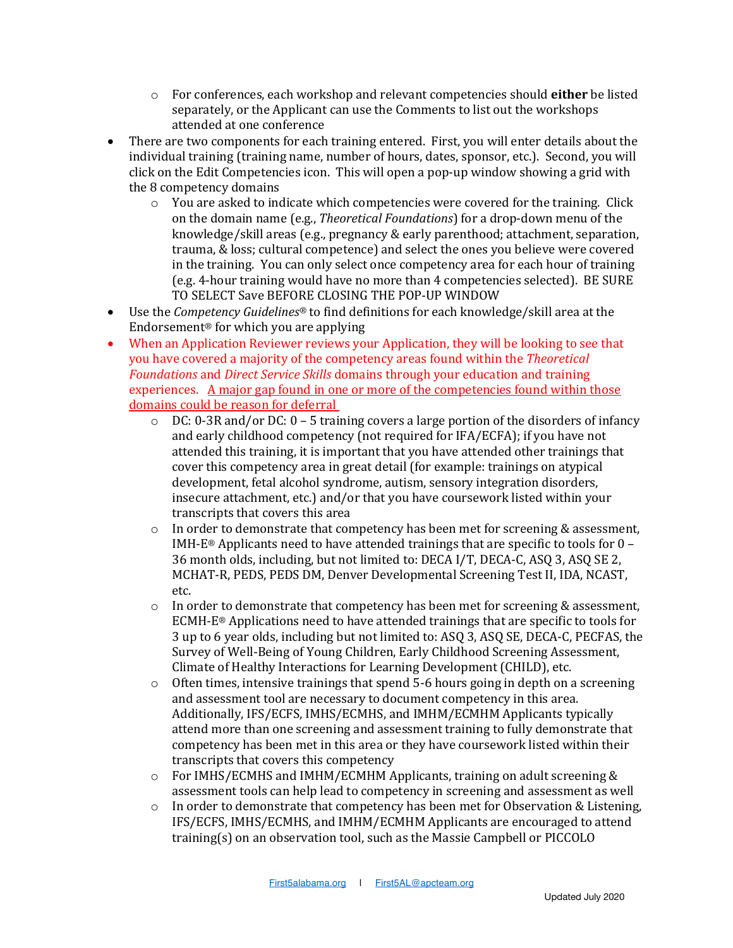- o For conferences, each workshop and relevant competencies should **either** be listed separately, or the Applicant can use the Comments to list out the workshops attended at one conference
- There are two components for each training entered. First, you will enter details about the individual training (training name, number of hours, dates, sponsor, etc.). Second, you will click on the Edit Competencies icon. This will open a pop-up window showing a grid with the 8 competency domains
	- $\circ$  You are asked to indicate which competencies were covered for the training. Click on the domain name (e.g., *Theoretical Foundations*) for a drop-down menu of the knowledge/skill areas (e.g., pregnancy & early parenthood; attachment, separation, trauma, & loss; cultural competence) and select the ones you believe were covered in the training. You can only select once competency area for each hour of training (e.g. 4-hour training would have no more than 4 competencies selected). BE SURE TO SELECT Save BEFORE CLOSING THE POP-UP WINDOW
- Use the *Competency Guidelines*<sup>®</sup> to find definitions for each knowledge/skill area at the Endorsement<sup>®</sup> for which you are applying
- When an Application Reviewer reviews your Application, they will be looking to see that you have covered a majority of the competency areas found within the *Theoretical* Foundations and *Direct Service Skills* domains through your education and training experiences. A major gap found in one or more of the competencies found within those domains could be reason for deferral
	- $\circ$  DC: 0-3R and/or DC: 0 5 training covers a large portion of the disorders of infancy and early childhood competency (not required for IFA/ECFA); if you have not attended this training, it is important that you have attended other trainings that cover this competency area in great detail (for example: trainings on atypical development, fetal alcohol syndrome, autism, sensory integration disorders, insecure attachment, etc.) and/or that you have coursework listed within your transcripts that covers this area
	- $\circ$  In order to demonstrate that competency has been met for screening & assessment, IMH-E® Applicants need to have attended trainings that are specific to tools for  $0 -$ 36 month olds, including, but not limited to: DECA I/T, DECA-C, ASQ 3, ASQ SE 2, MCHAT-R, PEDS, PEDS DM, Denver Developmental Screening Test II, IDA, NCAST, etc.
	- $\circ$  In order to demonstrate that competency has been met for screening & assessment, ECMH-E<sup>®</sup> Applications need to have attended trainings that are specific to tools for 3 up to 6 year olds, including but not limited to: ASQ 3, ASQ SE, DECA-C, PECFAS, the Survey of Well-Being of Young Children, Early Childhood Screening Assessment, Climate of Healthy Interactions for Learning Development (CHILD), etc.
	- $\circ$  Often times, intensive trainings that spend 5-6 hours going in depth on a screening and assessment tool are necessary to document competency in this area. Additionally, IFS/ECFS, IMHS/ECMHS, and IMHM/ECMHM Applicants typically attend more than one screening and assessment training to fully demonstrate that competency has been met in this area or they have coursework listed within their transcripts that covers this competency
	- $\circ$  For IMHS/ECMHS and IMHM/ECMHM Applicants, training on adult screening & assessment tools can help lead to competency in screening and assessment as well
	- $\circ$  In order to demonstrate that competency has been met for Observation & Listening, IFS/ECFS, IMHS/ECMHS, and IMHM/ECMHM Applicants are encouraged to attend training(s) on an observation tool, such as the Massie Campbell or PICCOLO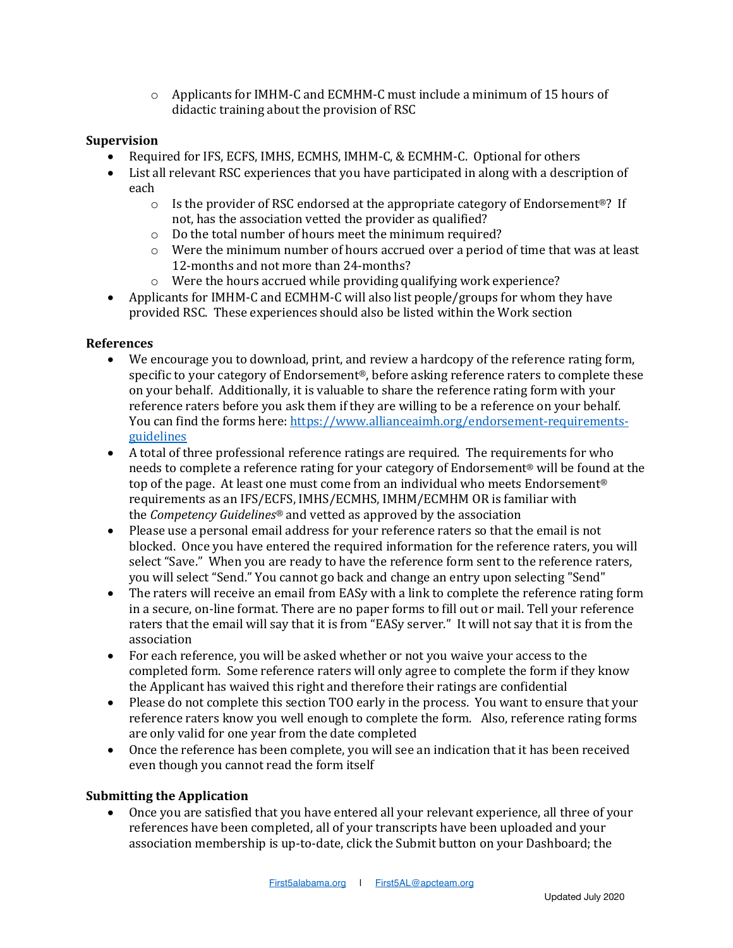$\circ$  Applicants for IMHM-C and ECMHM-C must include a minimum of 15 hours of didactic training about the provision of RSC

### **Supervision**

- Required for IFS, ECFS, IMHS, ECMHS, IMHM-C, & ECMHM-C. Optional for others
- List all relevant RSC experiences that you have participated in along with a description of each
	- $\circ$  Is the provider of RSC endorsed at the appropriate category of Endorsement<sup>®</sup>? If not, has the association vetted the provider as qualified?
	- $\circ$  Do the total number of hours meet the minimum required?
	- $\circ$  Were the minimum number of hours accrued over a period of time that was at least 12-months and not more than 24-months?
	- $\circ$  Were the hours accrued while providing qualifying work experience?
- Applicants for IMHM-C and ECMHM-C will also list people/groups for whom they have provided RSC. These experiences should also be listed within the Work section

### **References**

- We encourage you to download, print, and review a hardcopy of the reference rating form, specific to your category of Endorsement®, before asking reference raters to complete these on your behalf. Additionally, it is valuable to share the reference rating form with your reference raters before you ask them if they are willing to be a reference on your behalf. You can find the forms here: https://www.allianceaimh.org/endorsement-requirementsguidelines
- A total of three professional reference ratings are required. The requirements for who needs to complete a reference rating for your category of Endorsement® will be found at the top of the page. At least one must come from an individual who meets Endorsement® requirements as an IFS/ECFS, IMHS/ECMHS, IMHM/ECMHM OR is familiar with the *Competency Guidelines<sup>®</sup>* and vetted as approved by the association
- Please use a personal email address for your reference raters so that the email is not blocked. Once you have entered the required information for the reference raters, you will select "Save." When you are ready to have the reference form sent to the reference raters, you will select "Send." You cannot go back and change an entry upon selecting "Send"
- The raters will receive an email from EASy with a link to complete the reference rating form in a secure, on-line format. There are no paper forms to fill out or mail. Tell your reference raters that the email will say that it is from "EASy server." It will not say that it is from the association
- For each reference, you will be asked whether or not you waive your access to the completed form. Some reference raters will only agree to complete the form if they know the Applicant has waived this right and therefore their ratings are confidential
- Please do not complete this section TOO early in the process. You want to ensure that your reference raters know you well enough to complete the form. Also, reference rating forms are only valid for one year from the date completed
- Once the reference has been complete, you will see an indication that it has been received even though you cannot read the form itself

#### **Submitting the Application**

• Once you are satisfied that you have entered all your relevant experience, all three of your references have been completed, all of your transcripts have been uploaded and your association membership is up-to-date, click the Submit button on your Dashboard; the